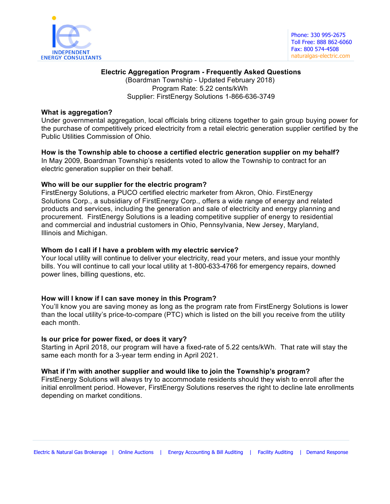

# **Electric Aggregation Program - Frequently Asked Questions** (Boardman Township - Updated February 2018) Program Rate: 5.22 cents/kWh Supplier: FirstEnergy Solutions 1-866-636-3749

# **What is aggregation?**

Under governmental aggregation, local officials bring citizens together to gain group buying power for the purchase of competitively priced electricity from a retail electric generation supplier certified by the Public Utilities Commission of Ohio.

**How is the Township able to choose a certified electric generation supplier on my behalf?** In May 2009, Boardman Township's residents voted to allow the Township to contract for an electric generation supplier on their behalf.

# **Who will be our supplier for the electric program?**

FirstEnergy Solutions, a PUCO certified electric marketer from Akron, Ohio. FirstEnergy Solutions Corp., a subsidiary of FirstEnergy Corp., offers a wide range of energy and related products and services, including the generation and sale of electricity and energy planning and procurement. FirstEnergy Solutions is a leading competitive supplier of energy to residential and commercial and industrial customers in Ohio, Pennsylvania, New Jersey, Maryland, Illinois and Michigan.

# **Whom do I call if I have a problem with my electric service?**

Your local utility will continue to deliver your electricity, read your meters, and issue your monthly bills. You will continue to call your local utility at 1-800-633-4766 for emergency repairs, downed power lines, billing questions, etc.

#### **How will I know if I can save money in this Program?**

You'll know you are saving money as long as the program rate from FirstEnergy Solutions is lower than the local utility's price-to-compare (PTC) which is listed on the bill you receive from the utility each month.

#### **Is our price for power fixed, or does it vary?**

Starting in April 2018, our program will have a fixed-rate of 5.22 cents/kWh. That rate will stay the same each month for a 3-year term ending in April 2021.

## **What if I'm with another supplier and would like to join the Township's program?**

FirstEnergy Solutions will always try to accommodate residents should they wish to enroll after the initial enrollment period. However, FirstEnergy Solutions reserves the right to decline late enrollments depending on market conditions.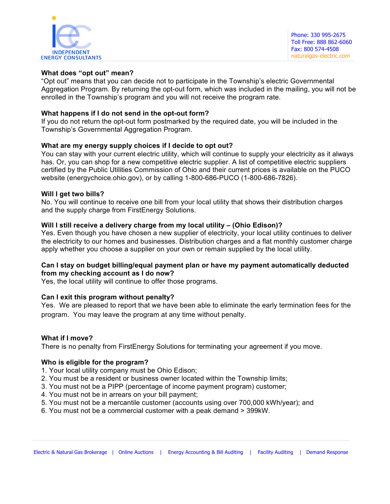

# **What does "opt out" mean?**

"Opt out" means that you can decide not to participate in the Township's electric Governmental Aggregation Program. By returning the opt-out form, which was included in the mailing, you will not be enrolled in the Township's program and you will not receive the program rate.

## **What happens if I do not send in the opt-out form?**

If you do not return the opt-out form postmarked by the required date, you will be included in the Township's Governmental Aggregation Program.

# **What are my energy supply choices if I decide to opt out?**

You can stay with your current electric utility, which will continue to supply your electricity as it always has. Or, you can shop for a new competitive electric supplier. A list of competitive electric suppliers certified by the Public Utilities Commission of Ohio and their current prices is available on the PUCO website (energychoice.ohio.gov), or by calling 1-800-686-PUCO (1-800-686-7826).

#### **Will I get two bills?**

No. You will continue to receive one bill from your local utility that shows their distribution charges and the supply charge from FirstEnergy Solutions.

# **Will I still receive a delivery charge from my local utility – (Ohio Edison)?**

Yes. Even though you have chosen a new supplier of electricity, your local utility continues to deliver the electricity to our homes and businesses. Distribution charges and a flat monthly customer charge apply whether you choose a supplier on your own or remain supplied by the local utility.

# **Can I stay on budget billing/equal payment plan or have my payment automatically deducted from my checking account as I do now?**

Yes, the local utility will continue to offer those programs.

#### **Can I exit this program without penalty?**

Yes. We are pleased to report that we have been able to eliminate the early termination fees for the program. You may leave the program at any time without penalty.

#### **What if I move?**

There is no penalty from FirstEnergy Solutions for terminating your agreement if you move.

#### **Who is eligible for the program?**

- 1. Your local utility company must be Ohio Edison;
- 2. You must be a resident or business owner located within the Township limits;
- 3. You must not be a PIPP (percentage of income payment program) customer;
- 4. You must not be in arrears on your bill payment;
- 5. You must not be a mercantile customer (accounts using over 700,000 kWh/year); and
- 6. You must not be a commercial customer with a peak demand > 399kW.